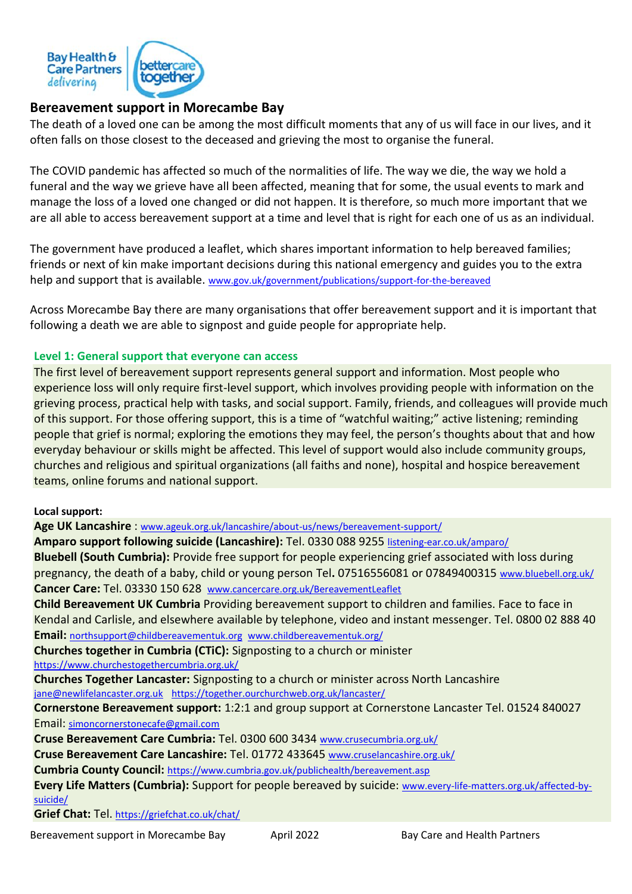

# **Bereavement support in Morecambe Bay**

The death of a loved one can be among the most difficult moments that any of us will face in our lives, and it often falls on those closest to the deceased and grieving the most to organise the funeral.

The COVID pandemic has affected so much of the normalities of life. The way we die, the way we hold a funeral and the way we grieve have all been affected, meaning that for some, the usual events to mark and manage the loss of a loved one changed or did not happen. It is therefore, so much more important that we are all able to access bereavement support at a time and level that is right for each one of us as an individual.

The government have produced a leaflet, which shares important information to help bereaved families; friends or next of kin make important decisions during this national emergency and guides you to the extra help and support that is available. [www.gov.uk/government/publications/support-for-the-bereaved](http://www.gov.uk/government/publications/support-for-the-bereaved)

Across Morecambe Bay there are many organisations that offer bereavement support and it is important that following a death we are able to signpost and guide people for appropriate help.

### **Level 1: General support that everyone can access**

The first level of bereavement support represents general support and information. Most people who experience loss will only require first-level support, which involves providing people with information on the grieving process, practical help with tasks, and social support. Family, friends, and colleagues will provide much of this support. For those offering support, this is a time of "watchful waiting;" active listening; reminding people that grief is normal; exploring the emotions they may feel, the person's thoughts about that and how everyday behaviour or skills might be affected. This level of support would also include community groups, churches and religious and spiritual organizations (all faiths and none), hospital and hospice bereavement teams, online forums and national support.

### **Local support:**

**Age UK Lancashire** : [www.ageuk.org.uk/lancashire/about-us/news/bereavement-support/](http://www.ageuk.org.uk/lancashire/about-us/news/bereavement-support/)

**Amparo support following suicide (Lancashire):** Tel. 0330 088 9255 [listening-ear.co.uk/amparo/](https://listening-ear.co.uk/amparo/)

**Bluebell (South Cumbria):** Provide free support for people experiencing grief associated with loss during pregnancy, the death of a baby, child or young person Tel**.** 07516556081 or 07849400315 [www.bluebell.org.uk/](http://www.bluebell.org.uk/) **Cancer Care:** Tel. 03330 150 628 [www.cancercare.org.uk/BereavementLeaflet](http://www.cancercare.org.uk/BereavementLeaflet)

**Child Bereavement UK Cumbria** Providing bereavement support to children and families. Face to face in Kendal and Carlisle, and elsewhere available by telephone, video and instant messenger. Tel. 0800 02 888 40 **Email:** [northsupport@childbereavementuk.org](mailto:northsupport@childbereavementuk.org) [www.childbereavementuk.org/](http://www.childbereavementuk.org/cumbria)

**Churches together in Cumbria (CTiC):** Signposting to a church or minister

<https://www.churchestogethercumbria.org.uk/>

**Churches Together Lancaster:** Signposting to a church or minister across North Lancashire [jane@newlifelancaster.org.uk](mailto:jane@newlifelancaster.org.uk)<https://together.ourchurchweb.org.uk/lancaster/>

**Cornerstone Bereavement support:** 1:2:1 and group support at Cornerstone Lancaster Tel. 01524 840027 Email: [simoncornerstonecafe@gmail.com](mailto:simoncornerstonecafe@gmail.com)

**Cruse Bereavement Care Cumbria:** Tel. 0300 600 3434 [www.crusecumbria.org.uk/](http://www.crusecumbria.org.uk/)

**Cruse Bereavement Care Lancashire:** Tel. 01772 433645 [www.cruselancashire.org.uk/](http://www.cruselancashire.org.uk/)

**Cumbria County Council:** <https://www.cumbria.gov.uk/publichealth/bereavement.asp>

**Every Life Matters (Cumbria):** Support for people bereaved by suicide: [www.every-life-matters.org.uk/affected-by](http://www.every-life-matters.org.uk/affected-by-suicide/)[suicide/](http://www.every-life-matters.org.uk/affected-by-suicide/)

**Grief Chat:** Tel. <https://griefchat.co.uk/chat/>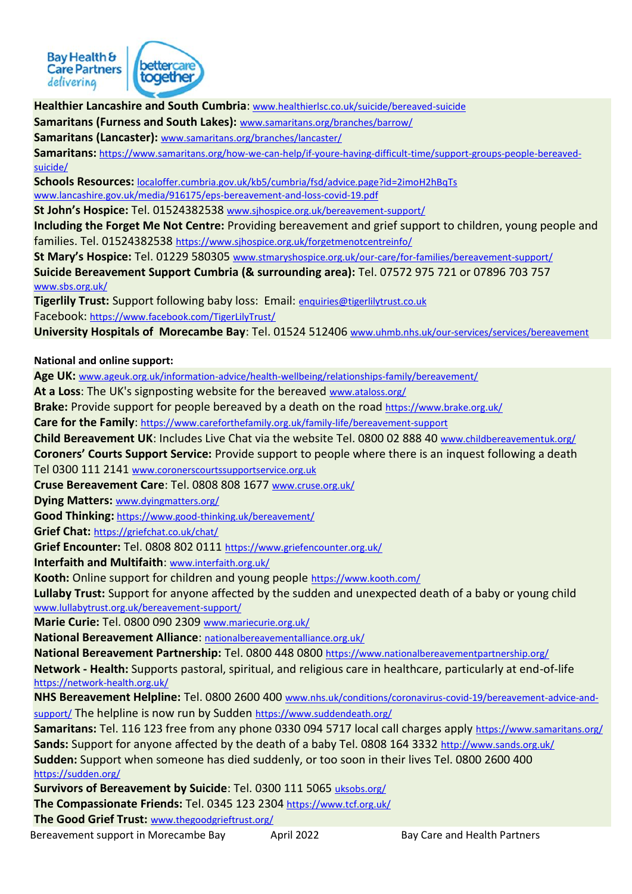

**Healthier Lancashire and South Cumbria**: [www.healthierlsc.co.uk/suicide/bereaved-suicide](http://www.healthierlsc.co.uk/suicide/bereaved-suicide)

**Samaritans (Furness and South Lakes):** [www.samaritans.org/branches/barrow/](http://www.samaritans.org/branches/barrow/)

**Samaritans (Lancaster):** [www.samaritans.org/branches/lancaster/](http://www.samaritans.org/branches/lancaster/)

**Samaritans:** [https://www.samaritans.org/how-we-can-help/if-youre-having-difficult-time/support-groups-people-bereaved](https://www.samaritans.org/how-we-can-help/if-youre-having-difficult-time/support-groups-people-bereaved-suicide/)[suicide/](https://www.samaritans.org/how-we-can-help/if-youre-having-difficult-time/support-groups-people-bereaved-suicide/)

**Schools Resources:** [localoffer.cumbria.gov.uk/kb5/cumbria/fsd/advice.page?id=2imoH2hBqTs](https://localoffer.cumbria.gov.uk/kb5/cumbria/fsd/advice.page?id=2imoH2hBqTs) [www.lancashire.gov.uk/media/916175/eps-bereavement-and-loss-covid-19.pdf](http://www.lancashire.gov.uk/media/916175/eps-bereavement-and-loss-covid-19.pdf)

**St John's Hospice:** Tel. 01524382538 www.sjhospice.org.uk/bereavement-support/

**Including the Forget Me Not Centre:** Providing bereavement and grief support to children, young people and families. Tel. 01524382538 <https://www.sjhospice.org.uk/forgetmenotcentreinfo/>

**St Mary's Hospice:** Tel. 01229 580305 [www.stmaryshospice.org.uk/our-care/for-families/bereavement-support/](http://www.stmaryshospice.org.uk/our-care/for-families/bereavement-support/)

**Suicide Bereavement Support Cumbria (& surrounding area):** Tel. 07572 975 721 or 07896 703 757 [www.sbs.org.uk/](http://www.sbs.org.uk/)

**Tigerlily Trust:** Support following baby loss: Email: [enquiries@tigerlilytrust.co.uk](mailto:enquiries@tigerlilytrust.co.uk) Facebook: <https://www.facebook.com/TigerLilyTrust/>

**University Hospitals of Morecambe Bay**: Tel. 01524 512406 [www.uhmb.nhs.uk/our-services/services/bereavement](http://www.uhmb.nhs.uk/our-services/services/bereavement)

**National and online support:**

**Age UK:** [www.ageuk.org.uk/information-advice/health-wellbeing/relationships-family/bereavement/](http://www.ageuk.org.uk/information-advice/health-wellbeing/relationships-family/bereavement/)

**At a Loss**: The UK's signposting website for the bereaved [www.ataloss.org/](http://www.ataloss.org/)

**Brake:** Provide support for people bereaved by a death on the road <https://www.brake.org.uk/>

**Care for the Family**: <https://www.careforthefamily.org.uk/family-life/bereavement-support>

**Child Bereavement UK**: Includes Live Chat via the website Tel. 0800 02 888 40 [www.childbereavementuk.org/](http://www.childbereavementuk.org/)

**Coroners' Courts Support Service:** Provide support to people where there is an inquest following a death

Tel 0300 111 2141 [www.coronerscourtssupportservice.org.uk](http://www.coronerscourtssupportservice.org.uk/)

**Cruse Bereavement Care**: Tel. 0808 808 1677 [www.cruse.org.uk/](http://www.cruse.org.uk/)

**Dying Matters:** [www.dyingmatters.org/](http://www.dyingmatters.org/)

**Good Thinking:** <https://www.good-thinking.uk/bereavement/>

**Grief Chat:** <https://griefchat.co.uk/chat/>

**Grief Encounter:** Tel. 0808 802 0111 <https://www.griefencounter.org.uk/>

**Interfaith and Multifaith**: [www.interfaith.org.uk/](http://www.interfaith.org.uk/)

**Kooth:** Online support for children and young people <https://www.kooth.com/>

**Lullaby Trust:** Support for anyone affected by the sudden and unexpected death of a baby or young child [www.lullabytrust.org.uk/bereavement-support/](http://www.lullabytrust.org.uk/bereavement-support/)

**Marie Curie:** Tel. 0800 090 2309 [www.mariecurie.org.uk/](http://www.mariecurie.org.uk/)

**National Bereavement Alliance**: [nationalbereavementalliance.org.uk/](https://nationalbereavementalliance.org.uk/)

**National Bereavement Partnership:** Tel. 0800 448 0800 <https://www.nationalbereavementpartnership.org/>

**Network - Health:** Supports pastoral, spiritual, and religious care in healthcare, particularly at end-of-life <https://network-health.org.uk/>

**NHS Bereavement Helpline:** Tel. 0800 2600 400 [www.nhs.uk/conditions/coronavirus-covid-19/bereavement-advice-and](http://www.nhs.uk/conditions/coronavirus-covid-19/bereavement-advice-and-support/)[support/](http://www.nhs.uk/conditions/coronavirus-covid-19/bereavement-advice-and-support/) The helpline is now run by Sudden <https://www.suddendeath.org/>

**Samaritans:** Tel. 116 123 free from any phone 0330 094 5717 local call charges apply <https://www.samaritans.org/> **Sands:** Support for anyone affected by the death of a baby Tel. 0808 164 3332 <http://www.sands.org.uk/> **Sudden:** Support when someone has died suddenly, or too soon in their lives Tel. 0800 2600 400 <https://sudden.org/>

**Survivors of Bereavement by Suicide**: Tel. 0300 111 5065 [uksobs.org/](https://uksobs.org/)

**The Compassionate Friends:** Tel. 0345 123 2304 <https://www.tcf.org.uk/>

**The Good Grief Trust:** [www.thegoodgrieftrust.org/](http://www.thegoodgrieftrust.org/)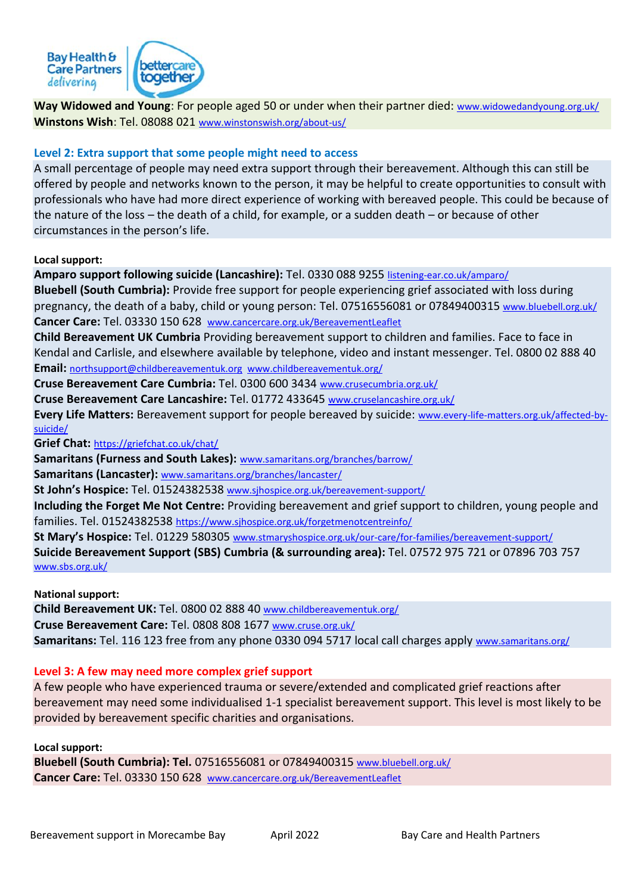

**Way Widowed and Young**: For people aged 50 or under when their partner died: [www.widowedandyoung.org.uk/](http://www.widowedandyoung.org.uk/) **Winstons Wish**: Tel. 08088 021 [www.winstonswish.org/about-us/](http://www.winstonswish.org/about-us/)

## **Level 2: Extra support that some people might need to access**

A small percentage of people may need extra support through their bereavement. Although this can still be offered by people and networks known to the person, it may be helpful to create opportunities to consult with professionals who have had more direct experience of working with bereaved people. This could be because of the nature of the loss – the death of a child, for example, or a sudden death – or because of other circumstances in the person's life.

#### **Local support:**

**Amparo support following suicide (Lancashire):** Tel. 0330 088 9255 [listening-ear.co.uk/amparo/](https://listening-ear.co.uk/amparo/) **Bluebell (South Cumbria):** Provide free support for people experiencing grief associated with loss during pregnancy, the death of a baby, child or young person: Tel. 07516556081 or 07849400315 [www.bluebell.org.uk/](http://www.bluebell.org.uk/) **Cancer Care:** Tel. 03330 150 628 [www.cancercare.org.uk/BereavementLeaflet](http://www.cancercare.org.uk/BereavementLeaflet) **Child Bereavement UK Cumbria** Providing bereavement support to children and families. Face to face in Kendal and Carlisle, and elsewhere available by telephone, video and instant messenger. Tel. 0800 02 888 40 **Email:** [northsupport@childbereavementuk.org](mailto:northsupport@childbereavementuk.org) [www.childbereavementuk.org/](http://www.childbereavementuk.org/cumbria) **Cruse Bereavement Care Cumbria:** Tel. 0300 600 3434 [www.crusecumbria.org.uk/](http://www.crusecumbria.org.uk/) **Cruse Bereavement Care Lancashire:** Tel. 01772 433645 [www.cruselancashire.org.uk/](http://www.cruselancashire.org.uk/) **Every Life Matters:** Bereavement support for people bereaved by suicide: [www.every-life-matters.org.uk/affected-by](http://www.every-life-matters.org.uk/affected-by-suicide/)[suicide/](http://www.every-life-matters.org.uk/affected-by-suicide/) **Grief Chat:** <https://griefchat.co.uk/chat/> **Samaritans (Furness and South Lakes):** [www.samaritans.org/branches/barrow/](http://www.samaritans.org/branches/barrow/) **Samaritans (Lancaster):** [www.samaritans.org/branches/lancaster/](http://www.samaritans.org/branches/lancaster/) **St John's Hospice:** Tel. 01524382538 www.sjhospice.org.uk/bereavement-support/

**Including the Forget Me Not Centre:** Providing bereavement and grief support to children, young people and families. Tel. 01524382538 <https://www.sjhospice.org.uk/forgetmenotcentreinfo/>

**St Mary's Hospice:** Tel. 01229 580305 [www.stmaryshospice.org.uk/our-care/for-families/bereavement-support/](http://www.stmaryshospice.org.uk/our-care/for-families/bereavement-support/)

**Suicide Bereavement Support (SBS) Cumbria (& surrounding area):** Tel. 07572 975 721 or 07896 703 757 [www.sbs.org.uk/](http://www.sbs.org.uk/)

**National support:** 

**Child Bereavement UK:** Tel. 0800 02 888 40 [www.childbereavementuk.org/](http://www.childbereavementuk.org/) **Cruse Bereavement Care:** Tel. 0808 808 1677 [www.cruse.org.uk/](http://www.cruse.org.uk/) **Samaritans:** Tel. 116 123 free from any phone 0330 094 5717 local call charges apply [www.samaritans.org/](http://www.samaritans.org/)

### **Level 3: A few may need more complex grief support**

A few people who have experienced trauma or severe/extended and complicated grief reactions after bereavement may need some individualised 1-1 specialist bereavement support. This level is most likely to be provided by bereavement specific charities and organisations.

**Local support:**

**Bluebell (South Cumbria): Tel.** 07516556081 or 07849400315 [www.bluebell.org.uk/](http://www.bluebell.org.uk/) **Cancer Care:** Tel. 03330 150 628 [www.cancercare.org.uk/BereavementLeaflet](http://www.cancercare.org.uk/BereavementLeaflet)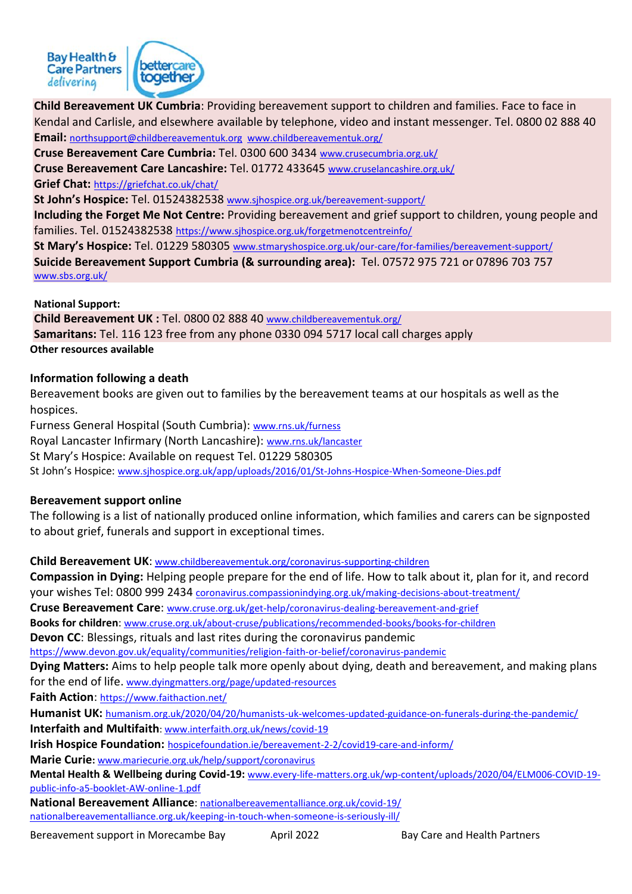

**Child Bereavement UK Cumbria**: Providing bereavement support to children and families. Face to face in Kendal and Carlisle, and elsewhere available by telephone, video and instant messenger. Tel. 0800 02 888 40

**Email:** [northsupport@childbereavementuk.org](mailto:northsupport@childbereavementuk.org) [www.childbereavementuk.org/](http://www.childbereavementuk.org/cumbria)

**Cruse Bereavement Care Cumbria:** Tel. 0300 600 3434 [www.crusecumbria.org.uk/](http://www.crusecumbria.org.uk/)

**Cruse Bereavement Care Lancashire:** Tel. 01772 433645 [www.cruselancashire.org.uk/](http://www.cruselancashire.org.uk/)

**Grief Chat:** <https://griefchat.co.uk/chat/>

**St John's Hospice:** Tel. 01524382538 www.sjhospice.org.uk/bereavement-support/

**Including the Forget Me Not Centre:** Providing bereavement and grief support to children, young people and families. Tel. 01524382538 <https://www.sjhospice.org.uk/forgetmenotcentreinfo/>

**St Mary's Hospice:** Tel. 01229 580305 [www.stmaryshospice.org.uk/our-care/for-families/bereavement-support/](http://www.stmaryshospice.org.uk/our-care/for-families/bereavement-support/) **Suicide Bereavement Support Cumbria (& surrounding area):** Tel. 07572 975 721 or 07896 703 757 [www.sbs.org.uk/](http://www.sbs.org.uk/)

#### **National Support:**

**Child Bereavement UK :** Tel. 0800 02 888 40 [www.childbereavementuk.org/](http://www.childbereavementuk.org/) **Samaritans:** Tel. 116 123 free from any phone 0330 094 5717 local call charges apply **Other resources available**

# **Information following a death**

Bereavement books are given out to families by the bereavement teams at our hospitals as well as the hospices.

Furness General Hospital (South Cumbria): [www.rns.uk/furness](http://www.rns.uk/furness) Royal Lancaster Infirmary (North Lancashire): [www.rns.uk/lancaster](http://www.rns.uk/lancaster) St Mary's Hospice: Available on request Tel. 01229 580305 St John's Hospice: [www.sjhospice.org.uk/app/uploads/2016/01/St-Johns-Hospice-When-Someone-Dies.pdf](http://www.sjhospice.org.uk/app/uploads/2016/01/St-Johns-Hospice-When-Someone-Dies.pdf)

### **Bereavement support online**

The following is a list of nationally produced online information, which families and carers can be signposted to about grief, funerals and support in exceptional times.

**Child Bereavement UK**: [www.childbereavementuk.org/coronavirus-supporting-children](http://www.childbereavementuk.org/coronavirus-supporting-children)

**Compassion in Dying:** Helping people prepare for the end of life. How to talk about it, plan for it, and record your wishes Tel: 0800 999 2434 [coronavirus.compassionindying.org.uk/making-decisions-about-treatment/](https://coronavirus.compassionindying.org.uk/making-decisions-about-treatment/)

**Cruse Bereavement Care**: [www.cruse.org.uk/get-help/coronavirus-dealing-bereavement-and-grief](http://www.cruse.org.uk/get-help/coronavirus-dealing-bereavement-and-grief)

**Books for children**: [www.cruse.org.uk/about-cruse/publications/recommended-books/books-for-children](http://www.cruse.org.uk/about-cruse/publications/recommended-books/books-for-children)

**Devon CC**: Blessings, rituals and last rites during the coronavirus pandemic

<https://www.devon.gov.uk/equality/communities/religion-faith-or-belief/coronavirus-pandemic>

**Dying Matters:** Aims to help people talk more openly about dying, death and bereavement, and making plans for the end of life. [www.dyingmatters.org/page/updated-resources](http://www.dyingmatters.org/page/updated-resources)

**Faith Action**: <https://www.faithaction.net/>

**Humanist UK:** [humanism.org.uk/2020/04/20/humanists-uk-welcomes-updated-guidance-on-funerals-during-the-pandemic/](https://humanism.org.uk/2020/04/20/humanists-uk-welcomes-updated-guidance-on-funerals-during-the-pandemic/)

**Interfaith and Multifaith**: [www.interfaith.org.uk/news/covid-19](http://www.interfaith.org.uk/news/covid-19)

**Irish Hospice Foundation:** [hospicefoundation.ie/bereavement-2-2/covid19-care-and-inform/](https://hospicefoundation.ie/bereavement-2-2/covid19-care-and-inform/)

**Marie Curie:** [www.mariecurie.org.uk/help/support/coronavirus](http://www.mariecurie.org.uk/help/support/coronavirus)

**Mental Health & Wellbeing during Covid-19:** [www.every-life-matters.org.uk/wp-content/uploads/2020/04/ELM006-COVID-19](http://www.every-life-matters.org.uk/wp-content/uploads/2020/04/ELM006-COVID-19-public-info-a5-booklet-AW-online-1.pdf) [public-info-a5-booklet-AW-online-1.pdf](http://www.every-life-matters.org.uk/wp-content/uploads/2020/04/ELM006-COVID-19-public-info-a5-booklet-AW-online-1.pdf)

**National Bereavement Alliance**: [nationalbereavementalliance.org.uk/covid-19/](https://nationalbereavementalliance.org.uk/covid-19/) [nationalbereavementalliance.org.uk/keeping-in-touch-when-someone-is-seriously-ill/](https://nationalbereavementalliance.org.uk/keeping-in-touch-when-someone-is-seriously-ill/)